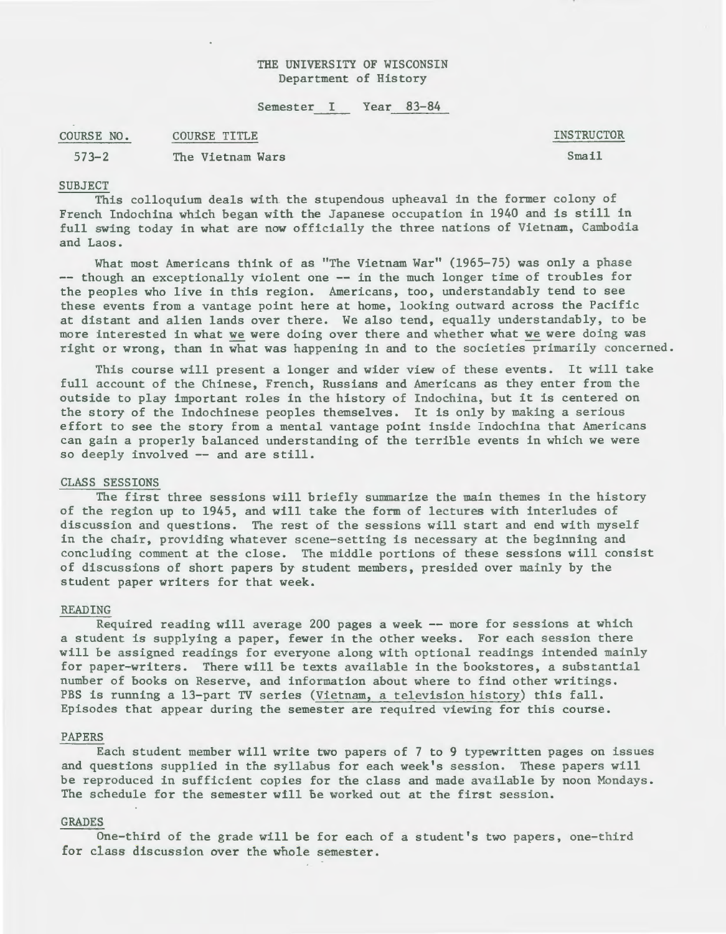# THE UNIVERSITY OF WISCONSIN Department of History

Semester I Year 83-84

COURSE NO. COURSE TITLE INSTRUCTOR Smail

573-2 The Vietnam Wars

# SUBJECT

This colloquium deals with the stupendous upheaval in the former colony of French Indochina which began with the Japanese occupation in 1940 and is still in full swing today in what are now officially the three nations of Vietnam, Cambodia and Laos.

What most Americans think of as "The Vietnam War" (1965-75) was only a phase -- though an exceptionally violent one -- in the much longer time of troubles for the peoples who live in this region. Americans, too, understandably tend to see these events from a vantage point here at home, looking outward across the Pacific at distant and alien lands over there. We also tend, equally understandably, to be more interested in what we were doing over there and whether what we were doing was right or wrong, than in what was happening in and to the societies primarily concerned.

This course will present a longer and wider view of these events. It will take full account of the Chinese, French, Russians and Americans as they enter from the outside to play important roles in the history of Indochina, but it is centered on the story of the Indochinese peoples themselves. It is only by making a serious effort to see the story from a mental vantage point inside Indochina that Americans can gain a properly balanced understanding of the terrible events in which we were so deeply involved -- and are still.

## CLASS SESSIONS

The first three sessions will briefly summarize the main themes in the history of the region up to 1945, and will take the form of lectures with interludes of discussion and questions. The rest of the sessions will start and end with myself in the chair, providing whatever scene-setting is necessary at the beginning and concluding comment at the close. The middle portions of these sessions will consist of discussions of short papers by student members, presided over mainly by the student paper writers for that week.

### READING

Required reading will average 200 pages a week -- more for sessions at which a student is supplying a paper, fewer in the other weeks. For each session there will be assigned readings for everyone along with optional readings intended mainly for paper-writers. There will be texts available in the bookstores, a substantial number of books on Reserve, and information about where to find other writings. PBS is running a 13-part TV series (Vietnam, a television history) this fall. Episodes that appear during the semester are required viewing for this course.

#### PAPERS

Each student member will write two papers of 7 to 9 typewritten pages on issues and questions supplied in the syllabus for each week's session. These papers will be reproduced in sufficient copies for the class and made available by noon Mondays. The schedule for the semester will be worked out at the first session.

#### GRADES

One-third of the grade will be for each of a student's two papers, one-third for class discussion over the whole semester.